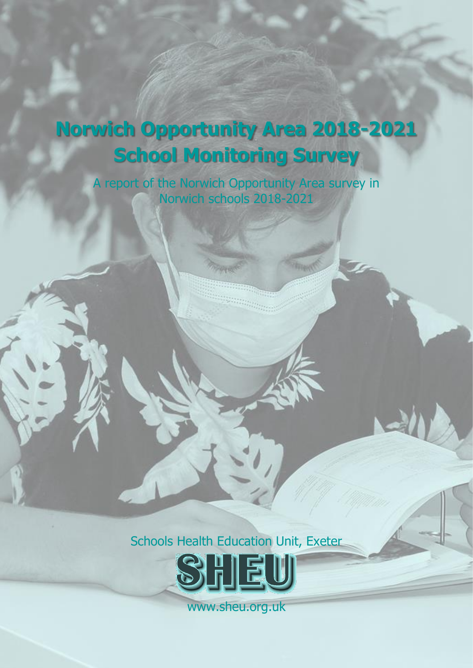# **Norwich Opportunity Area 2018-2021 School Monitoring Survey**

i

A report of the Norwich Opportunity Area survey in Norwich schools 2018-2021

an<sub>ang m</sub>p

Schools Health Education Unit, Exeter



www.sheu.org.uk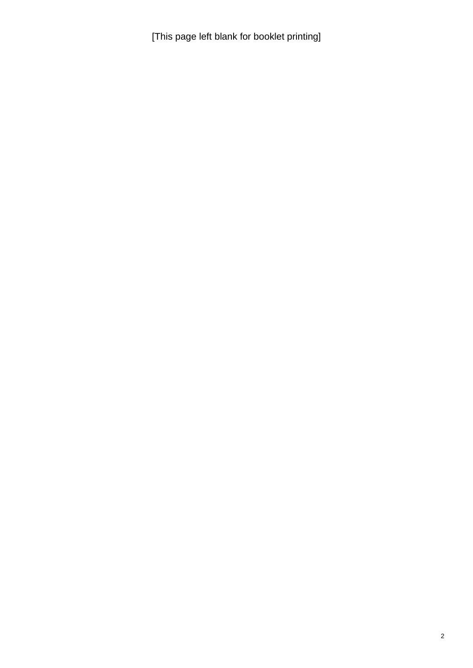[This page left blank for booklet printing]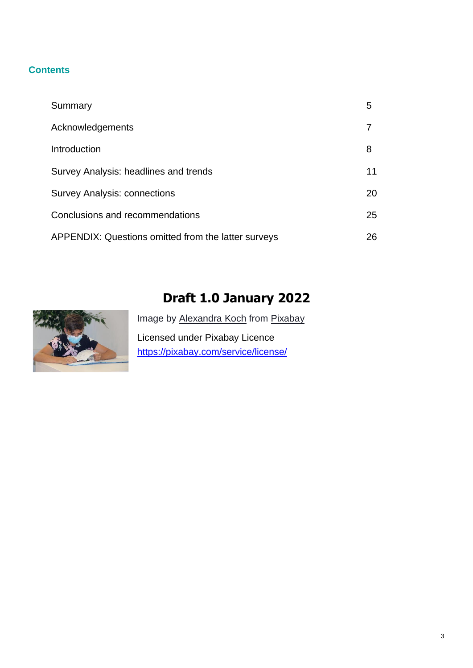## **Contents**

| Summary                                             | 5  |
|-----------------------------------------------------|----|
| Acknowledgements                                    |    |
| Introduction                                        | 8  |
| Survey Analysis: headlines and trends               | 11 |
| <b>Survey Analysis: connections</b>                 | 20 |
| Conclusions and recommendations                     | 25 |
| APPENDIX: Questions omitted from the latter surveys | 26 |

## **Draft 1.0 January 2022**



Image by [Alexandra](https://pixabay.com/users/alexandra_koch-621802/?utm_source=link-attribution&utm_medium=referral&utm_campaign=image&utm_content=5558624) Koch from [Pixabay](https://pixabay.com/?utm_source=link-attribution&utm_medium=referral&utm_campaign=image&utm_content=5558624) Licensed under Pixabay Licence <https://pixabay.com/service/license/>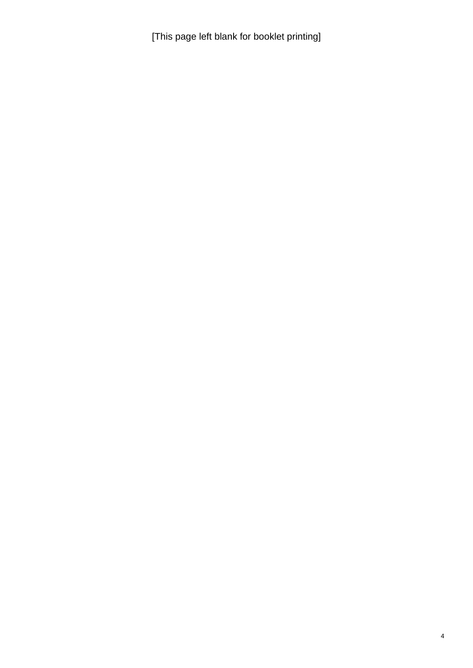[This page left blank for booklet printing]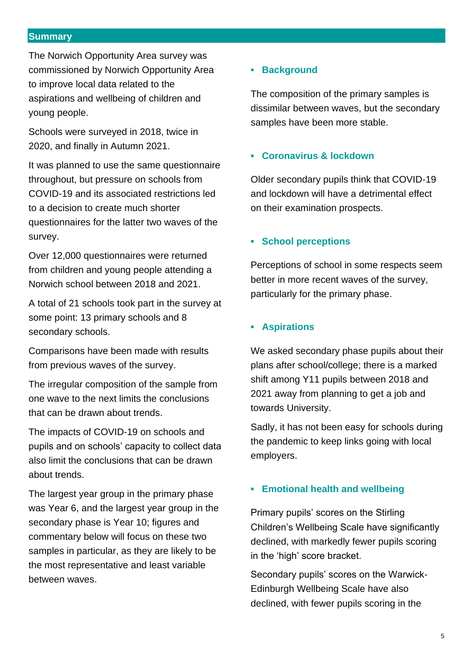#### <span id="page-4-0"></span>**Summary**

The Norwich Opportunity Area survey was commissioned by Norwich Opportunity Area to improve local data related to the aspirations and wellbeing of children and young people.

Schools were surveyed in 2018, twice in 2020, and finally in Autumn 2021.

It was planned to use the same questionnaire throughout, but pressure on schools from COVID-19 and its associated restrictions led to a decision to create much shorter questionnaires for the latter two waves of the survey.

Over 12,000 questionnaires were returned from children and young people attending a Norwich school between 2018 and 2021.

A total of 21 schools took part in the survey at some point: 13 primary schools and 8 secondary schools.

Comparisons have been made with results from previous waves of the survey.

The irregular composition of the sample from one wave to the next limits the conclusions that can be drawn about trends.

The impacts of COVID-19 on schools and pupils and on schools' capacity to collect data also limit the conclusions that can be drawn about trends.

The largest year group in the primary phase was Year 6, and the largest year group in the secondary phase is Year 10; figures and commentary below will focus on these two samples in particular, as they are likely to be the most representative and least variable between waves.

## **▪ Background**

The composition of the primary samples is dissimilar between waves, but the secondary samples have been more stable.

#### **▪ Coronavirus & lockdown**

Older secondary pupils think that COVID-19 and lockdown will have a detrimental effect on their examination prospects.

## **▪ School perceptions**

Perceptions of school in some respects seem better in more recent waves of the survey, particularly for the primary phase.

## **▪ Aspirations**

We asked secondary phase pupils about their plans after school/college; there is a marked shift among Y11 pupils between 2018 and 2021 away from planning to get a job and towards University.

Sadly, it has not been easy for schools during the pandemic to keep links going with local employers.

#### **▪ Emotional health and wellbeing**

Primary pupils' scores on the Stirling Children's Wellbeing Scale have significantly declined, with markedly fewer pupils scoring in the 'high' score bracket.

Secondary pupils' scores on the Warwick-Edinburgh Wellbeing Scale have also declined, with fewer pupils scoring in the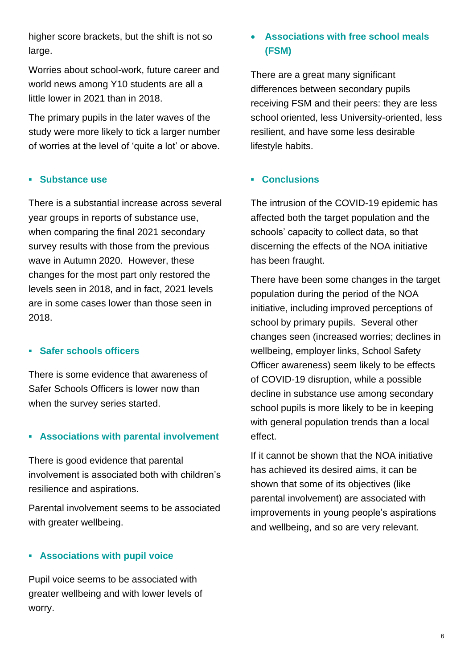higher score brackets, but the shift is not so large.

Worries about school-work, future career and world news among Y10 students are all a little lower in 2021 than in 2018.

The primary pupils in the later waves of the study were more likely to tick a larger number of worries at the level of 'quite a lot' or above.

#### **▪ Substance use**

There is a substantial increase across several year groups in reports of substance use, when comparing the final 2021 secondary survey results with those from the previous wave in Autumn 2020. However, these changes for the most part only restored the levels seen in 2018, and in fact, 2021 levels are in some cases lower than those seen in 2018.

#### **▪ Safer schools officers**

There is some evidence that awareness of Safer Schools Officers is lower now than when the survey series started.

## **▪ Associations with parental involvement**

There is good evidence that parental involvement is associated both with children's resilience and aspirations.

Parental involvement seems to be associated with greater wellbeing.

## **▪ Associations with pupil voice**

Pupil voice seems to be associated with greater wellbeing and with lower levels of worry.

## • **Associations with free school meals (FSM)**

There are a great many significant differences between secondary pupils receiving FSM and their peers: they are less school oriented, less University-oriented, less resilient, and have some less desirable lifestyle habits.

## **▪ Conclusions**

The intrusion of the COVID-19 epidemic has affected both the target population and the schools' capacity to collect data, so that discerning the effects of the NOA initiative has been fraught.

There have been some changes in the target population during the period of the NOA initiative, including improved perceptions of school by primary pupils. Several other changes seen (increased worries; declines in wellbeing, employer links, School Safety Officer awareness) seem likely to be effects of COVID-19 disruption, while a possible decline in substance use among secondary school pupils is more likely to be in keeping with general population trends than a local effect.

If it cannot be shown that the NOA initiative has achieved its desired aims, it can be shown that some of its objectives (like parental involvement) are associated with improvements in young people's aspirations and wellbeing, and so are very relevant.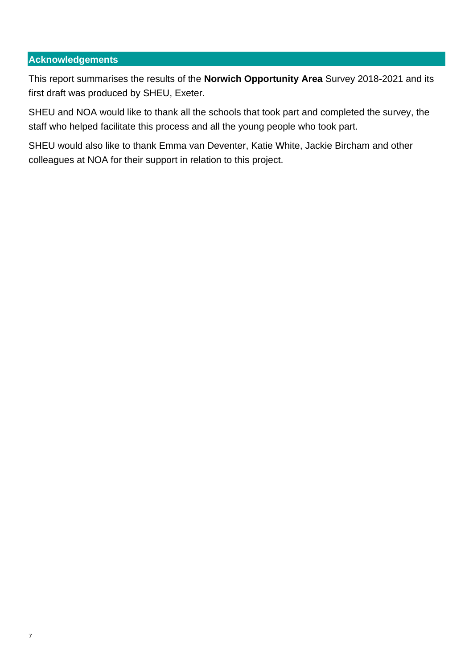## <span id="page-6-0"></span>**Acknowledgements**

This report summarises the results of the **Norwich Opportunity Area** Survey 2018-2021 and its first draft was produced by SHEU, Exeter.

SHEU and NOA would like to thank all the schools that took part and completed the survey, the staff who helped facilitate this process and all the young people who took part.

SHEU would also like to thank Emma van Deventer, Katie White, Jackie Bircham and other colleagues at NOA for their support in relation to this project.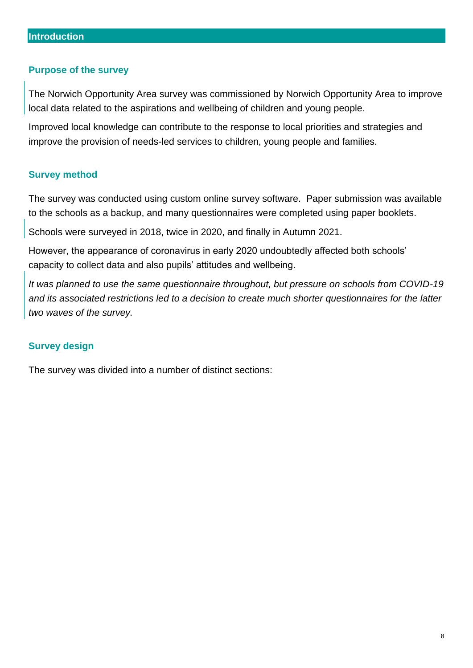#### <span id="page-7-0"></span>**Purpose of the survey**

The Norwich Opportunity Area survey was commissioned by Norwich Opportunity Area to improve local data related to the aspirations and wellbeing of children and young people.

Improved local knowledge can contribute to the response to local priorities and strategies and improve the provision of needs-led services to children, young people and families.

#### **Survey method**

The survey was conducted using custom online survey software. Paper submission was available to the schools as a backup, and many questionnaires were completed using paper booklets.

Schools were surveyed in 2018, twice in 2020, and finally in Autumn 2021.

However, the appearance of coronavirus in early 2020 undoubtedly affected both schools' capacity to collect data and also pupils' attitudes and wellbeing.

*It was planned to use the same questionnaire throughout, but pressure on schools from COVID-19 and its associated restrictions led to a decision to create much shorter questionnaires for the latter two waves of the survey.*

#### **Survey design**

The survey was divided into a number of distinct sections: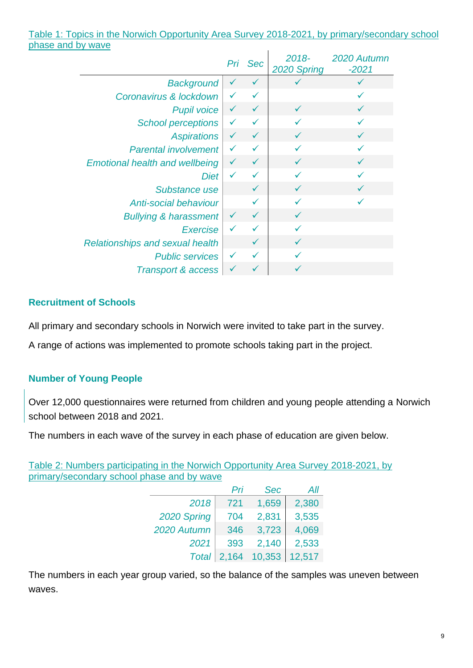#### Table 1: Topics in the Norwich Opportunity Area Survey 2018-2021, by primary/secondary school phase and by wave

|                                        |              | Pri Sec      | $2018 -$<br>2020 Spring | 2020 Autumn<br>$-2021$ |
|----------------------------------------|--------------|--------------|-------------------------|------------------------|
| <b>Background</b>                      | $\checkmark$ | $\checkmark$ |                         |                        |
| Coronavirus & lockdown                 | ✓            | ✓            |                         |                        |
| <b>Pupil voice</b>                     | $\checkmark$ | $\checkmark$ | $\checkmark$            | $\checkmark$           |
| <b>School perceptions</b>              | $\checkmark$ |              |                         |                        |
| <b>Aspirations</b>                     | $\checkmark$ | ✓            |                         | $\checkmark$           |
| <b>Parental involvement</b>            | ✓            | $\checkmark$ | ✓                       |                        |
| <b>Emotional health and wellbeing</b>  | $\checkmark$ | $\checkmark$ | $\checkmark$            | $\checkmark$           |
| <b>Diet</b>                            | $\checkmark$ | ✓            |                         |                        |
| Substance use                          |              |              |                         |                        |
| Anti-social behaviour                  |              | ✓            | ✓                       |                        |
| <b>Bullying &amp; harassment</b>       | $\checkmark$ | $\checkmark$ | $\checkmark$            |                        |
| Exercise                               | $\checkmark$ |              |                         |                        |
| <b>Relationships and sexual health</b> |              |              |                         |                        |
| <b>Public services</b>                 | $\checkmark$ |              |                         |                        |
| <b>Transport &amp; access</b>          | $\checkmark$ |              |                         |                        |

## **Recruitment of Schools**

All primary and secondary schools in Norwich were invited to take part in the survey.

A range of actions was implemented to promote schools taking part in the project.

## **Number of Young People**

Over 12,000 questionnaires were returned from children and young people attending a Norwich school between 2018 and 2021.

The numbers in each wave of the survey in each phase of education are given below.

Table 2: Numbers participating in the Norwich Opportunity Area Survey 2018-2021, by primary/secondary school phase and by wave

|              | Pri   | <b>Sec</b> | All    |
|--------------|-------|------------|--------|
| 2018         | 721   | 1,659      | 2,380  |
| 2020 Spring  | 704   | 2,831      | 3,535  |
| 2020 Autumn  | 346   | 3,723      | 4,069  |
| 2021         | 393   | 2,140      | 2,533  |
| <b>Total</b> | 2,164 | 10,353     | 12,517 |

The numbers in each year group varied, so the balance of the samples was uneven between waves.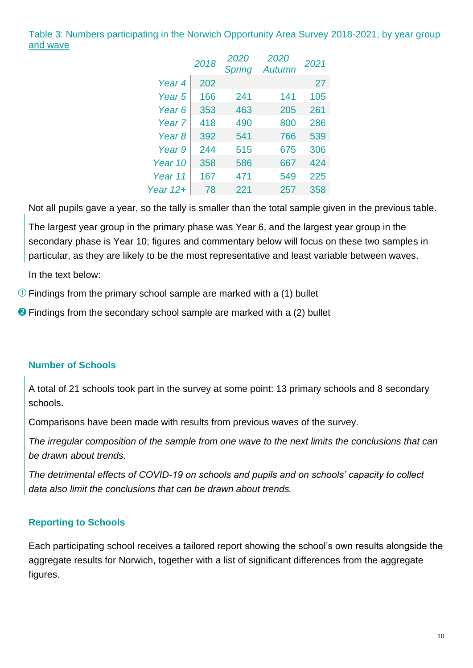Table 3: Numbers participating in the Norwich Opportunity Area Survey 2018-2021, by year group and wave

|                   | 2018 | <i>2020</i><br><b>Spring</b> | 2020<br><b>Autumn</b> | 2021 |
|-------------------|------|------------------------------|-----------------------|------|
| Year <sub>4</sub> | 202  |                              |                       | 27   |
| Year <sub>5</sub> | 166  | 241                          | 141                   | 105  |
| Year 6            | 353  | 463                          | 205                   | 261  |
| Year 7            | 418  | 490                          | 800                   | 286  |
| Year <sub>8</sub> | 392  | 541                          | 766                   | 539  |
| Year <sub>9</sub> | 244  | 515                          | 675                   | 306  |
| Year 10           | 358  | 586                          | 667                   | 424  |
| Year 11           | 167  | 471                          | 549                   | 225  |
| Year $12+$        | 78   | 221                          | 257                   | 358  |

Not all pupils gave a year, so the tally is smaller than the total sample given in the previous table.

The largest year group in the primary phase was Year 6, and the largest year group in the secondary phase is Year 10; figures and commentary below will focus on these two samples in particular, as they are likely to be the most representative and least variable between waves.

In the text below:

 $\overline{O}$  Findings from the primary school sample are marked with a (1) bullet

**2** Findings from the secondary school sample are marked with a (2) bullet

## **Number of Schools**

A total of 21 schools took part in the survey at some point: 13 primary schools and 8 secondary schools.

Comparisons have been made with results from previous waves of the survey.

*The irregular composition of the sample from one wave to the next limits the conclusions that can be drawn about trends.*

*The detrimental effects of COVID-19 on schools and pupils and on schools' capacity to collect data also limit the conclusions that can be drawn about trends.*

## **Reporting to Schools**

Each participating school receives a tailored report showing the school's own results alongside the aggregate results for Norwich, together with a list of significant differences from the aggregate figures.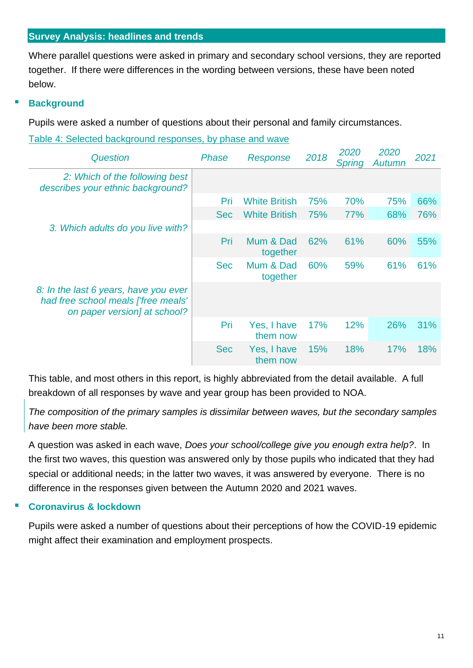## <span id="page-10-0"></span>**Survey Analysis: headlines and trends**

Where parallel questions were asked in primary and secondary school versions, they are reported together. If there were differences in the wording between versions, these have been noted below.

## **Background**

Pupils were asked a number of questions about their personal and family circumstances.

Table 4: Selected background responses, by phase and wave

| <b>Question</b>                                                                                              | Phase      | Response                | 2018 | 2020<br>Spring | 2020<br><b>Autumn</b> | 2021 |
|--------------------------------------------------------------------------------------------------------------|------------|-------------------------|------|----------------|-----------------------|------|
| 2: Which of the following best<br>describes your ethnic background?                                          |            |                         |      |                |                       |      |
|                                                                                                              | Pri        | <b>White British</b>    | 75%  | 70%            | 75%                   | 66%  |
|                                                                                                              | <b>Sec</b> | <b>White British</b>    | 75%  | 77%            | 68%                   | 76%  |
| 3. Which adults do you live with?                                                                            |            |                         |      |                |                       |      |
|                                                                                                              | Pri        | Mum & Dad<br>together   | 62%  | 61%            | 60%                   | 55%  |
|                                                                                                              | <b>Sec</b> | Mum & Dad<br>together   | 60%  | 59%            | 61%                   | 61%  |
| 8: In the last 6 years, have you ever<br>had free school meals ['free meals'<br>on paper version] at school? |            |                         |      |                |                       |      |
|                                                                                                              | Pri        | Yes, I have<br>them now | 17%  | 12%            | 26%                   | 31%  |
|                                                                                                              | <b>Sec</b> | Yes, I have<br>them now | 15%  | 18%            | 17%                   | 18%  |

This table, and most others in this report, is highly abbreviated from the detail available. A full breakdown of all responses by wave and year group has been provided to NOA.

*The composition of the primary samples is dissimilar between waves, but the secondary samples have been more stable.*

A question was asked in each wave, *Does your school/college give you enough extra help?*. In the first two waves, this question was answered only by those pupils who indicated that they had special or additional needs; in the latter two waves, it was answered by everyone. There is no difference in the responses given between the Autumn 2020 and 2021 waves.

## **Coronavirus & lockdown**

Pupils were asked a number of questions about their perceptions of how the COVID-19 epidemic might affect their examination and employment prospects.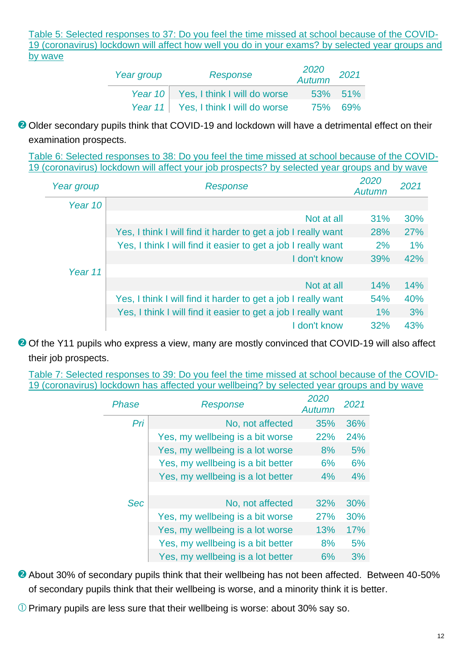Table 5: Selected responses to 37: Do you feel the time missed at school because of the COVID-19 (coronavirus) lockdown will affect how well you do in your exams? by selected year groups and by wave

| Year group | Response                             | 2020<br>Autumn | 2021           |
|------------|--------------------------------------|----------------|----------------|
|            | Year 10 Yes, I think I will do worse |                | 53% 51%        |
|            | Year 11 Yes, I think I will do worse |                | <b>75% 69%</b> |

<sup>2</sup> Older secondary pupils think that COVID-19 and lockdown will have a detrimental effect on their examination prospects.

Table 6: Selected responses to 38: Do you feel the time missed at school because of the COVID-19 (coronavirus) lockdown will affect your job prospects? by selected year groups and by wave

| Year group | Response                                                      | 2020<br>Autumn | 2021  |
|------------|---------------------------------------------------------------|----------------|-------|
| Year 10    |                                                               |                |       |
|            | Not at all                                                    | 31%            | 30%   |
|            | Yes, I think I will find it harder to get a job I really want | 28%            | 27%   |
|            | Yes, I think I will find it easier to get a job I really want | 2%             | $1\%$ |
|            | I don't know                                                  | 39%            | 42%   |
| Year 11    |                                                               |                |       |
|            | Not at all                                                    | 14%            | 14%   |
|            | Yes, I think I will find it harder to get a job I really want | 54%            | 40%   |
|            | Yes, I think I will find it easier to get a job I really want | $1\%$          | 3%    |
|            | I don't know                                                  | 32%            | 43%   |

<sup>2</sup> Of the Y11 pupils who express a view, many are mostly convinced that COVID-19 will also affect their job prospects.

Table 7: Selected responses to 39: Do you feel the time missed at school because of the COVID-19 (coronavirus) lockdown has affected your wellbeing? by selected year groups and by wave

| Phase      | Response                          | 2020<br>Autumn | 2021 |
|------------|-----------------------------------|----------------|------|
| Pri        | No, not affected                  | 35%            | 36%  |
|            | Yes, my wellbeing is a bit worse  | 22%            | 24%  |
|            | Yes, my wellbeing is a lot worse  | 8%             | 5%   |
|            | Yes, my wellbeing is a bit better | 6%             | 6%   |
|            | Yes, my wellbeing is a lot better | 4%             | 4%   |
| <b>Sec</b> | No, not affected                  | 32%            | 30%  |
|            | Yes, my wellbeing is a bit worse  | 27%            | 30%  |
|            | Yes, my wellbeing is a lot worse  | 13%            | 17%  |
|            | Yes, my wellbeing is a bit better | 8%             | 5%   |
|            | Yes, my wellbeing is a lot better | 6%             | 3%   |

**2** About 30% of secondary pupils think that their wellbeing has not been affected. Between 40-50% of secondary pupils think that their wellbeing is worse, and a minority think it is better.

 $\overline{O}$  Primary pupils are less sure that their wellbeing is worse: about 30% say so.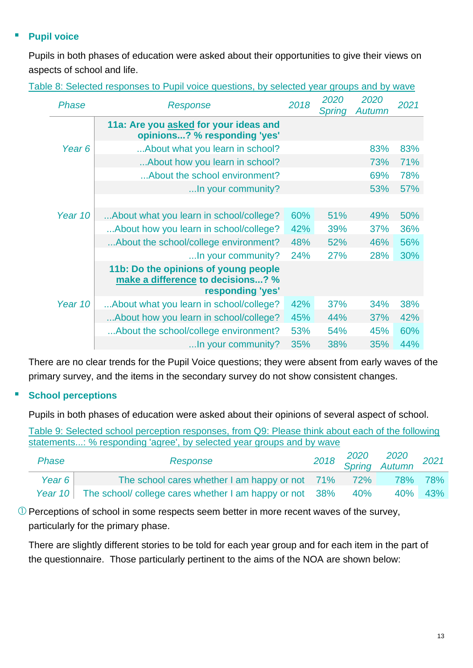## **Pupil voice**

Pupils in both phases of education were asked about their opportunities to give their views on aspects of school and life.

| Phase             | Response                                                                                      | 2018 | 2020<br>Spring | 2020<br>Autumn | 2021 |
|-------------------|-----------------------------------------------------------------------------------------------|------|----------------|----------------|------|
|                   | 11a: Are you asked for your ideas and<br>opinions? % responding 'yes'                         |      |                |                |      |
| Year <sub>6</sub> | About what you learn in school?                                                               |      |                | 83%            | 83%  |
|                   | About how you learn in school?                                                                |      |                | 73%            | 71%  |
|                   | About the school environment?                                                                 |      |                | 69%            | 78%  |
|                   | In your community?                                                                            |      |                | 53%            | 57%  |
|                   |                                                                                               |      |                |                |      |
| Year 10           | About what you learn in school/college?                                                       | 60%  | 51%            | 49%            | 50%  |
|                   | About how you learn in school/college?                                                        | 42%  | 39%            | 37%            | 36%  |
|                   | About the school/college environment?                                                         | 48%  | 52%            | 46%            | 56%  |
|                   | In your community?                                                                            | 24%  | 27%            | 28%            | 30%  |
|                   | 11b: Do the opinions of young people<br>make a difference to decisions? %<br>responding 'yes' |      |                |                |      |
| Year 10           | About what you learn in school/college?                                                       | 42%  | <b>37%</b>     | 34%            | 38%  |
|                   | About how you learn in school/college?                                                        | 45%  | 44%            | <b>37%</b>     | 42%  |
|                   | About the school/college environment?                                                         | 53%  | 54%            | 45%            | 60%  |
|                   | In your community?                                                                            | 35%  | 38%            | 35%            | 44%  |

Table 8: Selected responses to Pupil voice questions, by selected year groups and by wave

There are no clear trends for the Pupil Voice questions; they were absent from early waves of the primary survey, and the items in the secondary survey do not show consistent changes.

## **School perceptions**

Pupils in both phases of education were asked about their opinions of several aspect of school.

Table 9: Selected school perception responses, from Q9: Please think about each of the following statements...: % responding 'agree', by selected year groups and by wave

| <b>Phase</b> | Response                                                        |     | 2018 2020 2020 2021<br>Spring Autumn 2021 |         |
|--------------|-----------------------------------------------------------------|-----|-------------------------------------------|---------|
| Year $6$     | The school cares whether I am happy or not 71% 72% 78% 78%      |     |                                           |         |
|              | Year 10 The school/ college cares whether I am happy or not 38% | 40% |                                           | 40% 43% |

 $\Omega$  Perceptions of school in some respects seem better in more recent waves of the survey, particularly for the primary phase.

There are slightly different stories to be told for each year group and for each item in the part of the questionnaire. Those particularly pertinent to the aims of the NOA are shown below: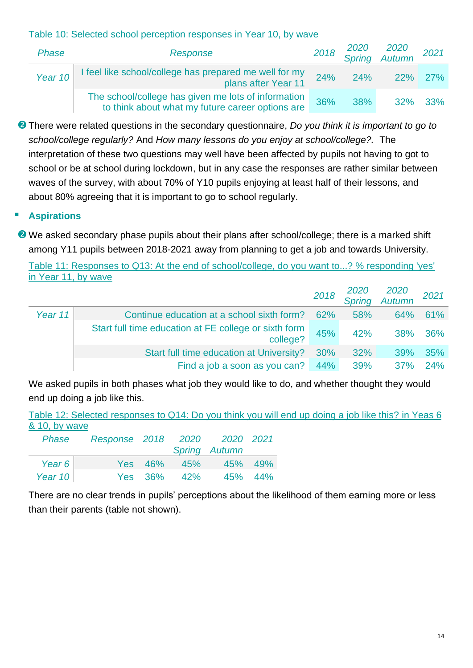## Table 10: Selected school perception responses in Year 10, by wave

| Phase   | Response                                                                                                |     |         | 2018 2020 2020 2021<br>Spring Autumn |         |
|---------|---------------------------------------------------------------------------------------------------------|-----|---------|--------------------------------------|---------|
| Year 10 | I feel like school/college has prepared me well for my<br>plans after Year 11                           |     | 24% 24% | 22% 27%                              |         |
|         | The school/college has given me lots of information<br>to think about what my future career options are | 36% | 38%     |                                      | 32% 33% |

There were related questions in the secondary questionnaire, *Do you think it is important to go to school/college regularly?* And *How many lessons do you enjoy at school/college?.* The interpretation of these two questions may well have been affected by pupils not having to got to school or be at school during lockdown, but in any case the responses are rather similar between waves of the survey, with about 70% of Y10 pupils enjoying at least half of their lessons, and about 80% agreeing that it is important to go to school regularly.

## **Aspirations**

**2** We asked secondary phase pupils about their plans after school/college; there is a marked shift among Y11 pupils between 2018-2021 away from planning to get a job and towards University.

Table 11: Responses to Q13: At the end of school/college, do you want to...? % responding 'yes' in Year 11, by wave

|         |                                                                   | 2018 |     | 2020 2020<br>Spring Autumn | 2021 |
|---------|-------------------------------------------------------------------|------|-----|----------------------------|------|
| Year 11 | Continue education at a school sixth form?                        | 62%  | 58% | 64%                        | 61%  |
|         | Start full time education at FE college or sixth form<br>college? | 45%  | 42% | <b>38%</b>                 | 36%  |
|         | Start full time education at University?                          | 30%  | 32% | <b>39%</b>                 | 35%  |
|         | Find a job a soon as you can? 44%                                 |      | 39% | 37%                        | 24%  |

We asked pupils in both phases what job they would like to do, and whether thought they would end up doing a job like this.

| Table 12: Selected responses to Q14: Do you think you will end up doing a job like this? in Yeas 6 |  |  |  |  |  |
|----------------------------------------------------------------------------------------------------|--|--|--|--|--|
| & 10, by wave                                                                                      |  |  |  |  |  |

| <b>Phase</b> | Response 2018 |         |     | 2020 2020 2021 |         |
|--------------|---------------|---------|-----|----------------|---------|
|              |               |         |     | Spring Autumn  |         |
| Year $6$     |               | Yes 46% | 45% |                | 45% 49% |
| Year $10$    |               | Yes 36% | 42% |                | 45% 44% |

There are no clear trends in pupils' perceptions about the likelihood of them earning more or less than their parents (table not shown).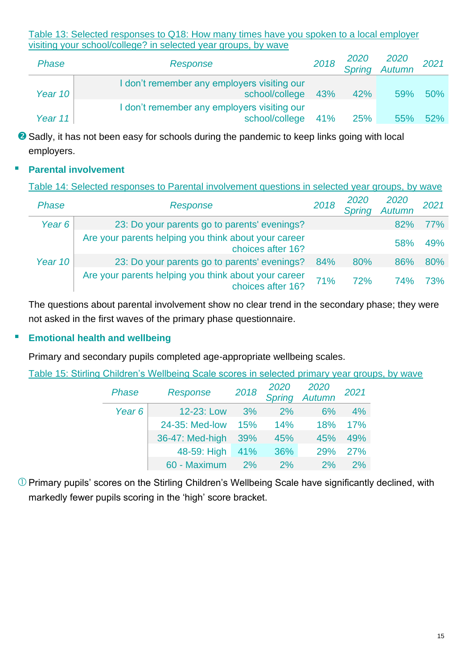Table 13: Selected responses to Q18: How many times have you spoken to a local employer visiting your school/college? in selected year groups, by wave

| Phase     | Response                                                              | 2018 |     | 2020 2020<br>Spring Autumn | 2021 |
|-----------|-----------------------------------------------------------------------|------|-----|----------------------------|------|
| Year $10$ | I don't remember any employers visiting our<br>school/college 43%     |      | 42% | 59%                        | 50%  |
| Year $11$ | I don't remember any employers visiting our<br>school/college 41% 25% |      |     | 55%                        | 52%  |

<sup>2</sup> Sadly, it has not been easy for schools during the pandemic to keep links going with local employers.

## **Parental involvement**

Table 14: Selected responses to Parental involvement questions in selected year groups, by wave

| <b>Phase</b> | Response                                                                  | 2018 | 2020<br><b>Spring</b> | 2020<br>Autumn | 2021       |
|--------------|---------------------------------------------------------------------------|------|-----------------------|----------------|------------|
| Year 6       | 23: Do your parents go to parents' evenings?                              |      |                       | 82%            | <b>77%</b> |
|              | Are your parents helping you think about your career<br>choices after 16? |      |                       | 58%            | 49%        |
| Year 10      | 23: Do your parents go to parents' evenings?                              | 84%  | 80%                   | 86%            | 80%        |
|              | Are your parents helping you think about your career<br>choices after 16? | 71%  | 72%                   | 74%            | 73%        |

The questions about parental involvement show no clear trend in the secondary phase; they were not asked in the first waves of the primary phase questionnaire.

## **Emotional health and wellbeing**

Primary and secondary pupils completed age-appropriate wellbeing scales.

Table 15: Stirling Children's Wellbeing Scale scores in selected primary year groups, by wave

| Phase             | Response        | 2018 |     | 2020 2020<br>Spring Autumn | 2021 |
|-------------------|-----------------|------|-----|----------------------------|------|
| Year <sub>6</sub> | 12-23: Low      | 3%   | 2%  | 6%                         | 4%   |
|                   | 24-35: Med-low  | 15%  | 14% | 18%                        | 17%  |
|                   | 36-47: Med-high | 39%  | 45% | 45%                        | 49%  |
|                   | 48-59: High     | 41%  | 36% | 29%                        | 27%  |
|                   | 60 - Maximum    | 2%   | 2%  | 2%                         | 2%   |

 $\overline{O}$  Primary pupils' scores on the Stirling Children's Wellbeing Scale have significantly declined, with markedly fewer pupils scoring in the 'high' score bracket.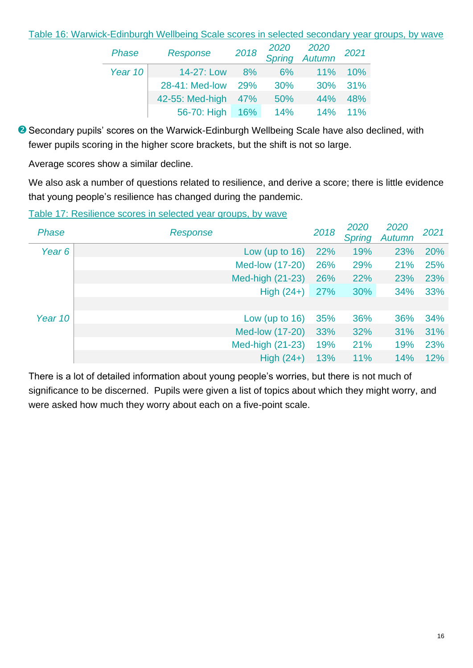#### Table 16: Warwick-Edinburgh Wellbeing Scale scores in selected secondary year groups, by wave

| <b>Phase</b> | <b>Response</b> | 2018 |     | 2020 2020<br>Spring Autumn | 2021   |
|--------------|-----------------|------|-----|----------------------------|--------|
| Year 10      | 14-27: Low      | 8%   | 6%  | 11%                        | 10%    |
|              | 28-41: Med-low  | 29%  | 30% | 30%                        | 31%    |
|              | 42-55: Med-high | 47%  | 50% | 44%                        | 48%    |
|              | 56-70: High     | 16%  | 14% | 14%                        | $11\%$ |

<sup>2</sup> Secondary pupils' scores on the Warwick-Edinburgh Wellbeing Scale have also declined, with fewer pupils scoring in the higher score brackets, but the shift is not so large.

Average scores show a similar decline.

We also ask a number of questions related to resilience, and derive a score; there is little evidence that young people's resilience has changed during the pandemic.

Table 17: Resilience scores in selected year groups, by wave

| <b>Phase</b> | Response          | 2018 | 2020<br><b>Spring</b> | 2020<br>Autumn | 2021 |
|--------------|-------------------|------|-----------------------|----------------|------|
| Year 6       | Low (up to $16$ ) | 22%  | 19%                   | 23%            | 20%  |
|              | Med-low (17-20)   | 26%  | 29%                   | 21%            | 25%  |
|              | Med-high (21-23)  | 26%  | 22%                   | 23%            | 23%  |
|              | High $(24+)$      | 27%  | 30%                   | 34%            | 33%  |
|              |                   |      |                       |                |      |
| Year 10      | Low (up to $16$ ) | 35%  | 36%                   | 36%            | 34%  |
|              | Med-low (17-20)   | 33%  | 32%                   | 31%            | 31%  |
|              | Med-high (21-23)  | 19%  | 21%                   | 19%            | 23%  |
|              | High $(24+)$      | 13%  | 11%                   | 14%            | 12%  |

There is a lot of detailed information about young people's worries, but there is not much of significance to be discerned. Pupils were given a list of topics about which they might worry, and were asked how much they worry about each on a five-point scale.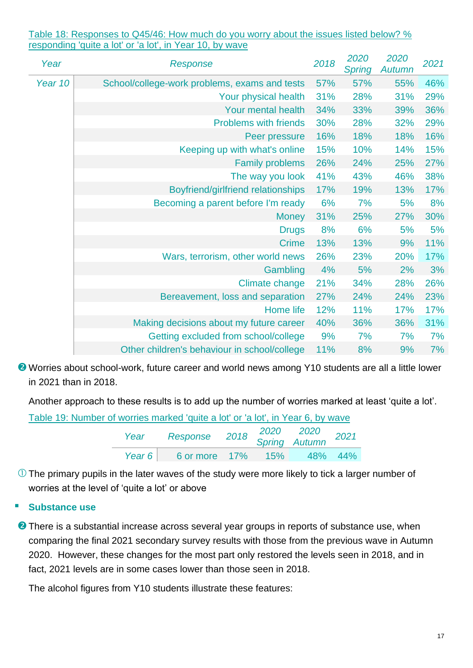Table 18: Responses to Q45/46: How much do you worry about the issues listed below? % responding 'quite a lot' or 'a lot', in Year 10, by wave

| Year    | Response                                      | 2018 | 2020<br><b>Spring</b> | 2020<br><b>Autumn</b> | 2021 |
|---------|-----------------------------------------------|------|-----------------------|-----------------------|------|
| Year 10 | School/college-work problems, exams and tests | 57%  | 57%                   | 55%                   | 46%  |
|         | Your physical health                          | 31%  | 28%                   | 31%                   | 29%  |
|         | Your mental health                            | 34%  | 33%                   | 39%                   | 36%  |
|         | <b>Problems with friends</b>                  | 30%  | 28%                   | 32%                   | 29%  |
|         | Peer pressure                                 | 16%  | 18%                   | 18%                   | 16%  |
|         | Keeping up with what's online                 | 15%  | 10%                   | 14%                   | 15%  |
|         | <b>Family problems</b>                        | 26%  | 24%                   | 25%                   | 27%  |
|         | The way you look                              | 41%  | 43%                   | 46%                   | 38%  |
|         | Boyfriend/girlfriend relationships            | 17%  | 19%                   | 13%                   | 17%  |
|         | Becoming a parent before I'm ready            | 6%   | 7%                    | 5%                    | 8%   |
|         | <b>Money</b>                                  | 31%  | 25%                   | 27%                   | 30%  |
|         | <b>Drugs</b>                                  | 8%   | 6%                    | 5%                    | 5%   |
|         | <b>Crime</b>                                  | 13%  | 13%                   | 9%                    | 11%  |
|         | Wars, terrorism, other world news             | 26%  | 23%                   | 20%                   | 17%  |
|         | Gambling                                      | 4%   | 5%                    | 2%                    | 3%   |
|         | Climate change                                | 21%  | 34%                   | 28%                   | 26%  |
|         | Bereavement, loss and separation              | 27%  | 24%                   | 24%                   | 23%  |
|         | Home life                                     | 12%  | 11%                   | 17%                   | 17%  |
|         | Making decisions about my future career       | 40%  | 36%                   | 36%                   | 31%  |
|         | Getting excluded from school/college          | 9%   | 7%                    | 7%                    | 7%   |
|         | Other children's behaviour in school/college  | 11%  | 8%                    | 9%                    | 7%   |

**2** Worries about school-work, future career and world news among Y10 students are all a little lower in 2021 than in 2018.

Another approach to these results is to add up the number of worries marked at least 'quite a lot'.

| Table 19: Number of worries marked 'quite a lot' or 'a lot', in Year 6, by wave |      |                                               |  |  |
|---------------------------------------------------------------------------------|------|-----------------------------------------------|--|--|
|                                                                                 | Year | Response 2018 2020 2020<br>Spring Autumn 2021 |  |  |
|                                                                                 |      | Year 6 6 6 6 6 7 7% 15% 48% 44%               |  |  |

 $\overline{0}$  The primary pupils in the later waves of the study were more likely to tick a larger number of worries at the level of 'quite a lot' or above

## **Substance use**

**2** There is a substantial increase across several year groups in reports of substance use, when comparing the final 2021 secondary survey results with those from the previous wave in Autumn 2020. However, these changes for the most part only restored the levels seen in 2018, and in fact, 2021 levels are in some cases lower than those seen in 2018.

The alcohol figures from Y10 students illustrate these features: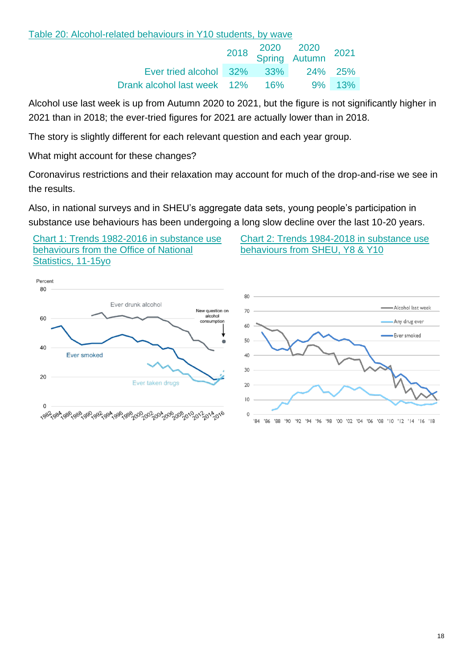## Table 20: Alcohol-related behaviours in Y10 students, by wave

|                                    |  | 2018 2020 2020 2021<br>Spring Autumn 2021 |  |
|------------------------------------|--|-------------------------------------------|--|
| Ever tried alcohol 32% 33% 24% 25% |  |                                           |  |
| Drank alcohol last week 12% 16%    |  | 9% 13%                                    |  |

Alcohol use last week is up from Autumn 2020 to 2021, but the figure is not significantly higher in 2021 than in 2018; the ever-tried figures for 2021 are actually lower than in 2018.

The story is slightly different for each relevant question and each year group.

What might account for these changes?

Coronavirus restrictions and their relaxation may account for much of the drop-and-rise we see in the results.

Also, in national surveys and in SHEU's aggregate data sets, young people's participation in substance use behaviours has been undergoing a long slow decline over the last 10-20 years.

Chart 1: Trends 1982-2016 in substance use behaviours from the Office of National Statistics, 11-15yo

Chart 2: Trends 1984-2018 in substance use behaviours from SHEU, Y8 & Y10

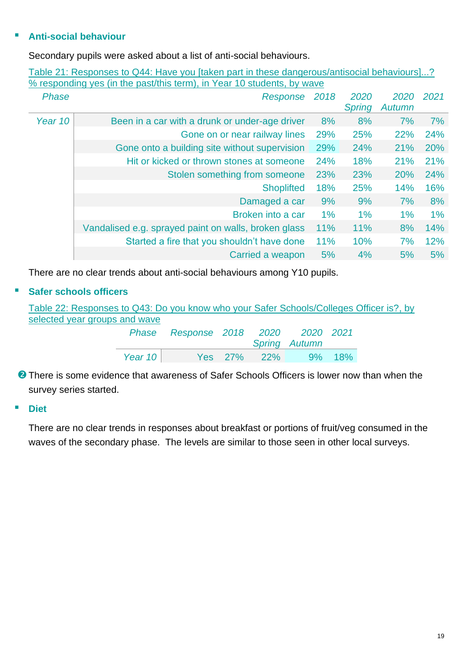## ▪ **Anti-social behaviour**

Secondary pupils were asked about a list of anti-social behaviours.

| <b>Phase</b> | % responding yes (in the past/this term), in Year 10 students, by wave<br>Response | 2018  | 2020          | 2020       | 2021  |
|--------------|------------------------------------------------------------------------------------|-------|---------------|------------|-------|
|              |                                                                                    |       | <b>Spring</b> | Autumn     |       |
| Year 10      | Been in a car with a drunk or under-age driver                                     | 8%    | 8%            | 7%         | 7%    |
|              | Gone on or near railway lines                                                      | 29%   | 25%           | 22%        | 24%   |
|              | Gone onto a building site without supervision                                      | 29%   | 24%           | 21%        | 20%   |
|              | Hit or kicked or thrown stones at someone                                          | 24%   | 18%           | 21%        | 21%   |
|              | Stolen something from someone                                                      | 23%   | 23%           | <b>20%</b> | 24%   |
|              | <b>Shoplifted</b>                                                                  | 18%   | 25%           | 14%        | 16%   |
|              | Damaged a car                                                                      | 9%    | 9%            | 7%         | 8%    |
|              | Broken into a car                                                                  | $1\%$ | $1\%$         | $1\%$      | $1\%$ |
|              | Vandalised e.g. sprayed paint on walls, broken glass                               | 11%   | 11%           | 8%         | 14%   |
|              | Started a fire that you shouldn't have done                                        | 11%   | 10%           | 7%         | 12%   |
|              | Carried a weapon                                                                   | 5%    | 4%            | 5%         | 5%    |

Table 21: Responses to Q44: Have you [taken part in these dangerous/antisocial behaviours]...? % responding yes (in the past/this term), in Year 10 students, by wave

There are no clear trends about anti-social behaviours among Y10 pupils.

## ▪ **Safer schools officers**

| Table 22: Responses to Q43: Do you know who your Safer Schools/Colleges Officer is?, by |           |                                    |  |                      |  |
|-----------------------------------------------------------------------------------------|-----------|------------------------------------|--|----------------------|--|
| selected year groups and wave                                                           |           |                                    |  |                      |  |
|                                                                                         |           | Phase Response 2018 2020 2020 2021 |  |                      |  |
|                                                                                         |           |                                    |  | <b>Spring Autumn</b> |  |
|                                                                                         | Year $10$ |                                    |  | Yes 27% 22% 9% 18%   |  |

**O** There is some evidence that awareness of Safer Schools Officers is lower now than when the survey series started.

#### ▪ **Diet**

There are no clear trends in responses about breakfast or portions of fruit/veg consumed in the waves of the secondary phase. The levels are similar to those seen in other local surveys.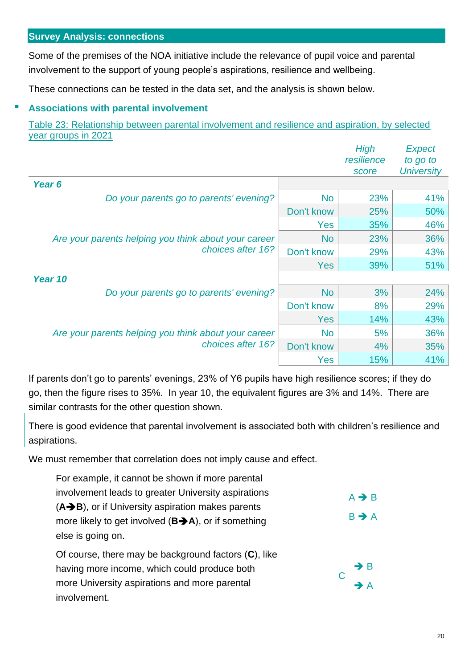<span id="page-19-0"></span>Some of the premises of the NOA initiative include the relevance of pupil voice and parental involvement to the support of young people's aspirations, resilience and wellbeing.

These connections can be tested in the data set, and the analysis is shown below.

## **Associations with parental involvement**

Table 23: Relationship between parental involvement and resilience and aspiration, by selected year groups in 2021

|                                                      |            | High<br>resilience<br>score | <b>Expect</b><br>to go to<br><b>University</b> |
|------------------------------------------------------|------------|-----------------------------|------------------------------------------------|
| Year 6                                               |            |                             |                                                |
| Do your parents go to parents' evening?              | <b>No</b>  | 23%                         | 41%                                            |
|                                                      | Don't know | 25%                         | 50%                                            |
|                                                      | Yes        | 35%                         | 46%                                            |
| Are your parents helping you think about your career | <b>No</b>  | 23%                         | 36%                                            |
| choices after 16?                                    | Don't know | 29%                         | 43%                                            |
|                                                      | <b>Yes</b> | 39%                         | 51%                                            |
| Year 10                                              |            |                             |                                                |
| Do your parents go to parents' evening?              | <b>No</b>  | 3%                          | 24%                                            |
|                                                      | Don't know | 8%                          | 29%                                            |
|                                                      | <b>Yes</b> | 14%                         | 43%                                            |
| Are your parents helping you think about your career | <b>No</b>  | 5%                          | 36%                                            |
| choices after 16?                                    | Don't know | 4%                          | 35%                                            |
|                                                      | Yes        | 15%                         | 41%                                            |

If parents don't go to parents' evenings, 23% of Y6 pupils have high resilience scores; if they do go, then the figure rises to 35%. In year 10, the equivalent figures are 3% and 14%. There are similar contrasts for the other question shown.

There is good evidence that parental involvement is associated both with children's resilience and aspirations.

We must remember that correlation does not imply cause and effect.

| For example, it cannot be shown if more parental                 |                   |
|------------------------------------------------------------------|-------------------|
| involvement leads to greater University aspirations              | $A \rightarrow B$ |
| (A→B), or if University aspiration makes parents                 |                   |
| more likely to get involved $(B\rightarrow A)$ , or if something | $B \rightarrow A$ |
| else is going on.                                                |                   |
| Of course, there may be background factors $(C)$ , like          |                   |
| having more income, which could produce both                     | $\rightarrow$ B   |
| more University aspirations and more parental                    | $\rightarrow$ A   |
| involvement.                                                     |                   |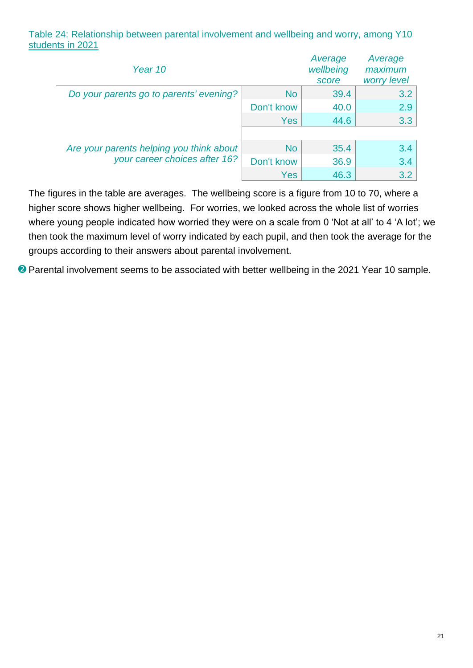#### Table 24: Relationship between parental involvement and wellbeing and worry, among Y10 students in 2021

| Year 10                                  |            | Average<br>wellbeing<br>score | Average<br>maximum<br>worry level |
|------------------------------------------|------------|-------------------------------|-----------------------------------|
| Do your parents go to parents' evening?  | No         | 39.4                          | 3.2                               |
|                                          | Don't know | 40.0                          | 2.9                               |
|                                          | <b>Yes</b> | 44.6                          | 3.3                               |
|                                          |            |                               |                                   |
| Are your parents helping you think about | No         | 35.4                          | 3.4                               |
| your career choices after 16?            | Don't know | 36.9                          | 3.4                               |
|                                          | Yes        | 46.3                          | 3.2                               |

The figures in the table are averages. The wellbeing score is a figure from 10 to 70, where a higher score shows higher wellbeing. For worries, we looked across the whole list of worries where young people indicated how worried they were on a scale from 0 'Not at all' to 4 'A lot'; we then took the maximum level of worry indicated by each pupil, and then took the average for the groups according to their answers about parental involvement.

**2** Parental involvement seems to be associated with better wellbeing in the 2021 Year 10 sample.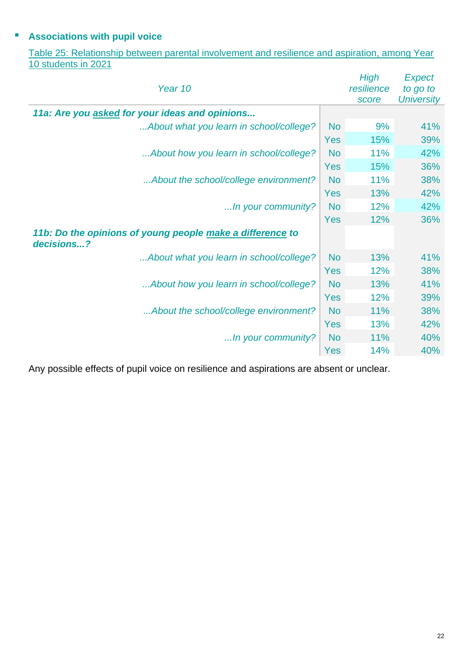## ▪ **Associations with pupil voice**

Table 25: Relationship between parental involvement and resilience and aspiration, among Year 10 students in 2021 *High* 

| Year 10                                                                 |            | High<br>resilience<br>score | <b>Expect</b><br>to go to<br><b>University</b> |
|-------------------------------------------------------------------------|------------|-----------------------------|------------------------------------------------|
| 11a: Are you asked for your ideas and opinions                          |            |                             |                                                |
| About what you learn in school/college?                                 | <b>No</b>  | 9%                          | 41%                                            |
|                                                                         | <b>Yes</b> | 15%                         | 39%                                            |
| About how you learn in school/college?                                  | <b>No</b>  | 11%                         | 42%                                            |
|                                                                         | <b>Yes</b> | 15%                         | 36%                                            |
| About the school/college environment?                                   | <b>No</b>  | 11%                         | 38%                                            |
|                                                                         | <b>Yes</b> | 13%                         | 42%                                            |
| In your community?                                                      | <b>No</b>  | 12%                         | 42%                                            |
|                                                                         | Yes        | 12%                         | 36%                                            |
| 11b: Do the opinions of young people make a difference to<br>decisions? |            |                             |                                                |
| About what you learn in school/college?                                 | <b>No</b>  | 13%                         | 41%                                            |
|                                                                         | <b>Yes</b> | 12%                         | 38%                                            |
| About how you learn in school/college?                                  | <b>No</b>  | 13%                         | 41%                                            |
|                                                                         | <b>Yes</b> | 12%                         | 39%                                            |
| About the school/college environment?                                   | <b>No</b>  | 11%                         | 38%                                            |
|                                                                         | <b>Yes</b> | 13%                         | 42%                                            |
| In your community?                                                      | <b>No</b>  | 11%                         | 40%                                            |
|                                                                         | Yes        | 14%                         | 40%                                            |

Any possible effects of pupil voice on resilience and aspirations are absent or unclear.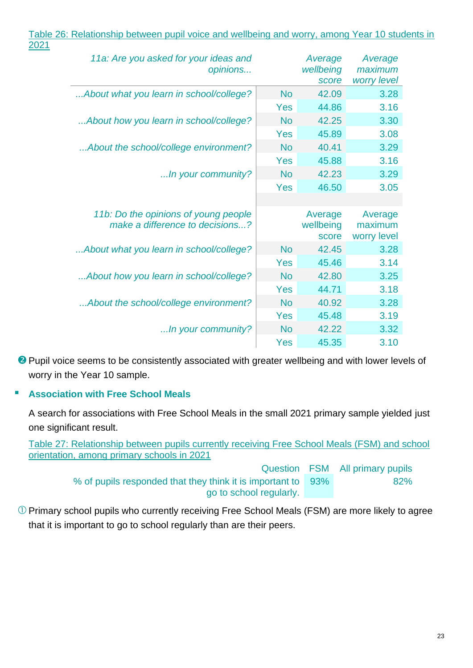| 2021 |                                                                         |            |                               |                                   |
|------|-------------------------------------------------------------------------|------------|-------------------------------|-----------------------------------|
|      | 11a: Are you asked for your ideas and<br>opinions                       |            | Average<br>wellbeing<br>score | Average<br>maximum<br>worry level |
|      | About what you learn in school/college?                                 | <b>No</b>  | 42.09                         | 3.28                              |
|      |                                                                         | <b>Yes</b> | 44.86                         | 3.16                              |
|      | About how you learn in school/college?                                  | <b>No</b>  | 42.25                         | 3.30                              |
|      |                                                                         | <b>Yes</b> | 45.89                         | 3.08                              |
|      | About the school/college environment?                                   | <b>No</b>  | 40.41                         | 3.29                              |
|      |                                                                         | <b>Yes</b> | 45.88                         | 3.16                              |
|      | In your community?                                                      | <b>No</b>  | 42.23                         | 3.29                              |
|      |                                                                         | <b>Yes</b> | 46.50                         | 3.05                              |
|      | 11b: Do the opinions of young people<br>make a difference to decisions? |            | Average<br>wellbeing<br>score | Average<br>maximum<br>worry level |
|      | About what you learn in school/college?                                 | <b>No</b>  | 42.45                         | 3.28                              |
|      |                                                                         | <b>Yes</b> | 45.46                         | 3.14                              |
|      | About how you learn in school/college?                                  | <b>No</b>  | 42.80                         | 3.25                              |
|      |                                                                         | <b>Yes</b> | 44.71                         | 3.18                              |
|      | About the school/college environment?                                   | <b>No</b>  | 40.92                         | 3.28                              |
|      |                                                                         | <b>Yes</b> | 45.48                         | 3.19                              |
|      | In your community?                                                      | <b>No</b>  | 42.22                         | 3.32                              |
|      |                                                                         | Yes        | 45.35                         | 3.10                              |

Table 26: Relationship between pupil voice and wellbeing and worry, among Year 10 students in

**Pupil voice seems to be consistently associated with greater wellbeing and with lower levels of** worry in the Year 10 sample.

## ▪ **Association with Free School Meals**

A search for associations with Free School Meals in the small 2021 primary sample yielded just one significant result.

Table 27: Relationship between pupils currently receiving Free School Meals (FSM) and school orientation, among primary schools in 2021

> Question FSM All primary pupils % of pupils responded that they think it is important to go to school regularly. 93% 82%

Primary school pupils who currently receiving Free School Meals (FSM) are more likely to agree that it is important to go to school regularly than are their peers.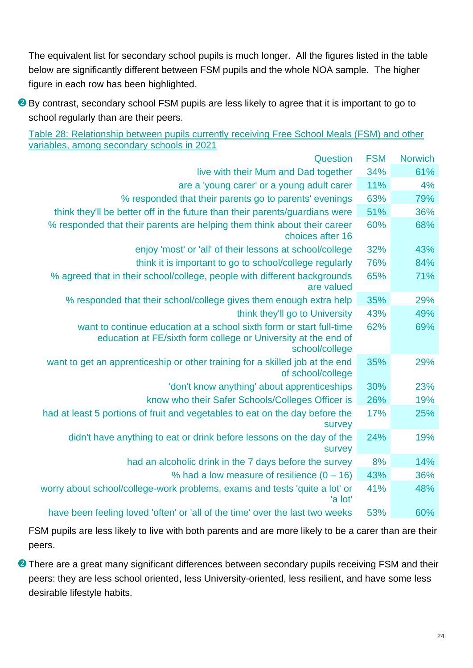The equivalent list for secondary school pupils is much longer. All the figures listed in the table below are significantly different between FSM pupils and the whole NOA sample. The higher figure in each row has been highlighted.

**By contrast, secondary school FSM pupils are less likely to agree that it is important to go to** school regularly than are their peers.

Table 28: Relationship between pupils currently receiving Free School Meals (FSM) and other variables, among secondary schools in 2021

| Question                                                                                                                                                 | <b>FSM</b> | <b>Norwich</b> |
|----------------------------------------------------------------------------------------------------------------------------------------------------------|------------|----------------|
| live with their Mum and Dad together                                                                                                                     | 34%        | 61%            |
| are a 'young carer' or a young adult carer                                                                                                               | 11%        | 4%             |
| % responded that their parents go to parents' evenings                                                                                                   | 63%        | 79%            |
| think they'll be better off in the future than their parents/guardians were                                                                              | 51%        | 36%            |
| % responded that their parents are helping them think about their career<br>choices after 16                                                             | 60%        | 68%            |
| enjoy 'most' or 'all' of their lessons at school/college                                                                                                 | 32%        | 43%            |
| think it is important to go to school/college regularly                                                                                                  | 76%        | 84%            |
| % agreed that in their school/college, people with different backgrounds<br>are valued                                                                   | 65%        | 71%            |
| % responded that their school/college gives them enough extra help                                                                                       | 35%        | 29%            |
| think they'll go to University                                                                                                                           | 43%        | 49%            |
| want to continue education at a school sixth form or start full-time<br>education at FE/sixth form college or University at the end of<br>school/college | 62%        | 69%            |
| want to get an apprenticeship or other training for a skilled job at the end<br>of school/college                                                        | 35%        | 29%            |
| 'don't know anything' about apprenticeships                                                                                                              | 30%        | 23%            |
| know who their Safer Schools/Colleges Officer is                                                                                                         | 26%        | 19%            |
| had at least 5 portions of fruit and vegetables to eat on the day before the<br>survey                                                                   | 17%        | 25%            |
| didn't have anything to eat or drink before lessons on the day of the<br>survey                                                                          | 24%        | 19%            |
| had an alcoholic drink in the 7 days before the survey                                                                                                   | 8%         | 14%            |
| % had a low measure of resilience $(0 - 16)$                                                                                                             | 43%        | 36%            |
| worry about school/college-work problems, exams and tests 'quite a lot' or<br>'a lot'                                                                    | 41%        | 48%            |
| have been feeling loved 'often' or 'all of the time' over the last two weeks                                                                             | 53%        | 60%            |

FSM pupils are less likely to live with both parents and are more likely to be a carer than are their peers.

**2** There are a great many significant differences between secondary pupils receiving FSM and their peers: they are less school oriented, less University-oriented, less resilient, and have some less desirable lifestyle habits.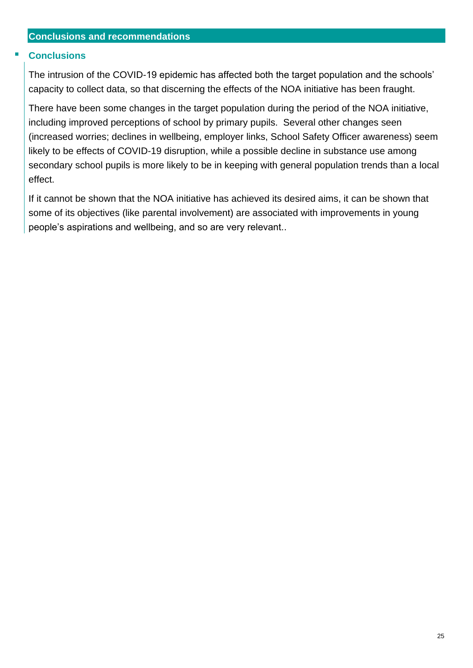#### <span id="page-24-0"></span>**Conclusions**

The intrusion of the COVID-19 epidemic has affected both the target population and the schools' capacity to collect data, so that discerning the effects of the NOA initiative has been fraught.

There have been some changes in the target population during the period of the NOA initiative, including improved perceptions of school by primary pupils. Several other changes seen (increased worries; declines in wellbeing, employer links, School Safety Officer awareness) seem likely to be effects of COVID-19 disruption, while a possible decline in substance use among secondary school pupils is more likely to be in keeping with general population trends than a local effect.

If it cannot be shown that the NOA initiative has achieved its desired aims, it can be shown that some of its objectives (like parental involvement) are associated with improvements in young people's aspirations and wellbeing, and so are very relevant..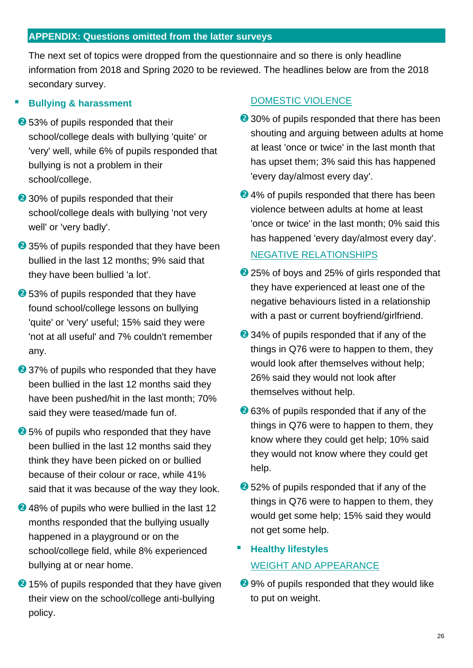## <span id="page-25-0"></span>**APPENDIX: Questions omitted from the latter surveys**

The next set of topics were dropped from the questionnaire and so there is only headline information from 2018 and Spring 2020 to be reviewed. The headlines below are from the 2018 secondary survey.

## **Bullving & harassment**

- **<sup>●</sup>53% of pupils responded that their** school/college deals with bullying 'quite' or 'very' well, while 6% of pupils responded that bullying is not a problem in their school/college.
- 2 30% of pupils responded that their school/college deals with bullying 'not very well' or 'very badly'.
- 235% of pupils responded that they have been bullied in the last 12 months; 9% said that they have been bullied 'a lot'.
- **2** 53% of pupils responded that they have found school/college lessons on bullying 'quite' or 'very' useful; 15% said they were 'not at all useful' and 7% couldn't remember any.
- 237% of pupils who responded that they have been bullied in the last 12 months said they have been pushed/hit in the last month; 70% said they were teased/made fun of.
- **2**5% of pupils who responded that they have been bullied in the last 12 months said they think they have been picked on or bullied because of their colour or race, while 41% said that it was because of the way they look.
- **2**48% of pupils who were bullied in the last 12 months responded that the bullying usually happened in a playground or on the school/college field, while 8% experienced bullying at or near home.
- 2 15% of pupils responded that they have given their view on the school/college anti-bullying policy.

## DOMESTIC VIOLENCE

- 230% of pupils responded that there has been shouting and arguing between adults at home at least 'once or twice' in the last month that has upset them; 3% said this has happened 'every day/almost every day'.
- **2**4% of pupils responded that there has been violence between adults at home at least 'once or twice' in the last month; 0% said this has happened 'every day/almost every day'.

#### NEGATIVE RELATIONSHIPS

- 25% of boys and 25% of girls responded that they have experienced at least one of the negative behaviours listed in a relationship with a past or current boyfriend/girlfriend.
- 234% of pupils responded that if any of the things in Q76 were to happen to them, they would look after themselves without help; 26% said they would not look after themselves without help.
- **2**63% of pupils responded that if any of the things in Q76 were to happen to them, they know where they could get help; 10% said they would not know where they could get help.
- **2** 52% of pupils responded that if any of the things in Q76 were to happen to them, they would get some help; 15% said they would not get some help.

## **Healthy lifestyles** WEIGHT AND APPEARANCE

29% of pupils responded that they would like to put on weight.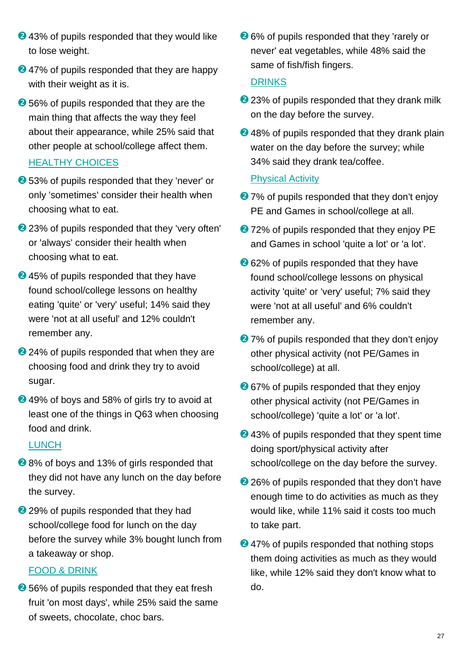- **2**43% of pupils responded that they would like to lose weight.
- **2**47% of pupils responded that they are happy with their weight as it is.
- **2** 56% of pupils responded that they are the main thing that affects the way they feel about their appearance, while 25% said that other people at school/college affect them.

## HEALTHY CHOICES

- **2** 53% of pupils responded that they 'never' or only 'sometimes' consider their health when choosing what to eat.
- 23% of pupils responded that they 'very often' or 'always' consider their health when choosing what to eat.
- **2**45% of pupils responded that they have found school/college lessons on healthy eating 'quite' or 'very' useful; 14% said they were 'not at all useful' and 12% couldn't remember any.
- 24% of pupils responded that when they are choosing food and drink they try to avoid sugar.
- **2**49% of boys and 58% of girls try to avoid at least one of the things in Q63 when choosing food and drink.

#### LUNCH

- **2**8% of boys and 13% of girls responded that they did not have any lunch on the day before the survey.
- 29% of pupils responded that they had school/college food for lunch on the day before the survey while 3% bought lunch from a takeaway or shop.

## FOOD & DRINK

**<sup>●</sup> 56% of pupils responded that they eat fresh** fruit 'on most days', while 25% said the same of sweets, chocolate, choc bars.

**26% of pupils responded that they 'rarely or** never' eat vegetables, while 48% said the same of fish/fish fingers.

## DRINKS

- 23% of pupils responded that they drank milk on the day before the survey.
- **2**48% of pupils responded that they drank plain water on the day before the survey; while 34% said they drank tea/coffee.

## Physical Activity

- **2**7% of pupils responded that they don't enjoy PE and Games in school/college at all.
- **2**72% of pupils responded that they enjoy PE and Games in school 'quite a lot' or 'a lot'.
- **2**62% of pupils responded that they have found school/college lessons on physical activity 'quite' or 'very' useful; 7% said they were 'not at all useful' and 6% couldn't remember any.
- 27% of pupils responded that they don't enjoy other physical activity (not PE/Games in school/college) at all.
- **2** 67% of pupils responded that they enjoy other physical activity (not PE/Games in school/college) 'quite a lot' or 'a lot'.
- **2**43% of pupils responded that they spent time doing sport/physical activity after school/college on the day before the survey.
- 26% of pupils responded that they don't have enough time to do activities as much as they would like, while 11% said it costs too much to take part.
- **247% of pupils responded that nothing stops** them doing activities as much as they would like, while 12% said they don't know what to do.